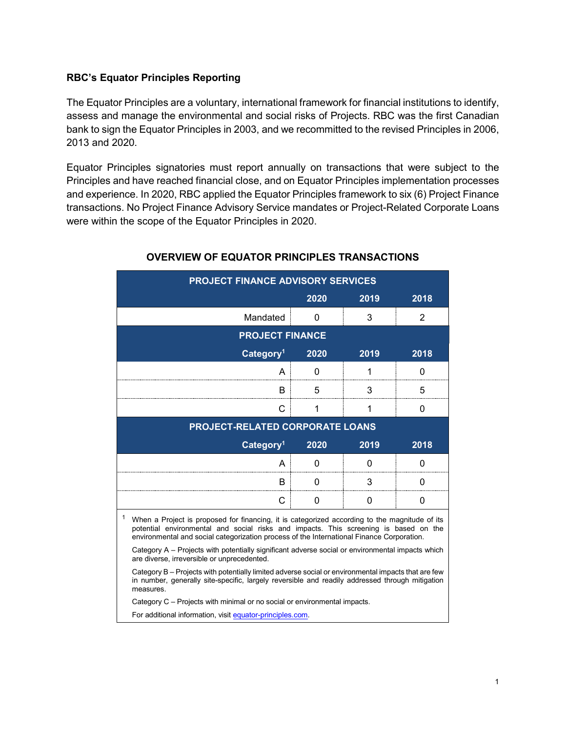## **RBC's Equator Principles Reporting**

The Equator Principles are a voluntary, international framework for financial institutions to identify, assess and manage the environmental and social risks of Projects. RBC was the first Canadian bank to sign the Equator Principles in 2003, and we recommitted to the revised Principles in 2006, 2013 and 2020.

Equator Principles signatories must report annually on transactions that were subject to the Principles and have reached financial close, and on Equator Principles implementation processes and experience. In 2020, RBC applied the Equator Principles framework to six (6) Project Finance transactions. No Project Finance Advisory Service mandates or Project-Related Corporate Loans were within the scope of the Equator Principles in 2020.

| <b>PROJECT FINANCE ADVISORY SERVICES</b>                                                                                                                                                                                                                                                |      |      |      |  |  |  |  |  |
|-----------------------------------------------------------------------------------------------------------------------------------------------------------------------------------------------------------------------------------------------------------------------------------------|------|------|------|--|--|--|--|--|
|                                                                                                                                                                                                                                                                                         | 2020 | 2019 | 2018 |  |  |  |  |  |
| Mandated                                                                                                                                                                                                                                                                                | 0    | 3    | 2    |  |  |  |  |  |
| <b>PROJECT FINANCE</b>                                                                                                                                                                                                                                                                  |      |      |      |  |  |  |  |  |
| Category <sup>1</sup>                                                                                                                                                                                                                                                                   | 2020 | 2019 | 2018 |  |  |  |  |  |
| A                                                                                                                                                                                                                                                                                       | 0    | 1    | 0    |  |  |  |  |  |
| B                                                                                                                                                                                                                                                                                       | 5    | 3    | 5    |  |  |  |  |  |
| С                                                                                                                                                                                                                                                                                       | 1    | 1    | 0    |  |  |  |  |  |
| PROJECT-RELATED CORPORATE LOANS                                                                                                                                                                                                                                                         |      |      |      |  |  |  |  |  |
| Category <sup>1</sup>                                                                                                                                                                                                                                                                   | 2020 | 2019 | 2018 |  |  |  |  |  |
| A                                                                                                                                                                                                                                                                                       | 0    | 0    | 0    |  |  |  |  |  |
| B                                                                                                                                                                                                                                                                                       | 0    | 3    | 0    |  |  |  |  |  |
| С                                                                                                                                                                                                                                                                                       | 0    | 0    | 0    |  |  |  |  |  |
| 1<br>When a Project is proposed for financing, it is categorized according to the magnitude of its<br>potential environmental and social risks and impacts. This screening is based on the<br>environmental and social categorization process of the International Finance Corporation. |      |      |      |  |  |  |  |  |
| Category A – Projects with potentially significant adverse social or environmental impacts which<br>are diverse, irreversible or unprecedented.                                                                                                                                         |      |      |      |  |  |  |  |  |
| Category B – Projects with potentially limited adverse social or environmental impacts that are few<br>in number, generally site-specific, largely reversible and readily addressed through mitigation<br>measures.                                                                     |      |      |      |  |  |  |  |  |
| Category C – Projects with minimal or no social or environmental impacts.                                                                                                                                                                                                               |      |      |      |  |  |  |  |  |
| For additional information, visit equator-principles.com.                                                                                                                                                                                                                               |      |      |      |  |  |  |  |  |

## **OVERVIEW OF EQUATOR PRINCIPLES TRANSACTIONS**